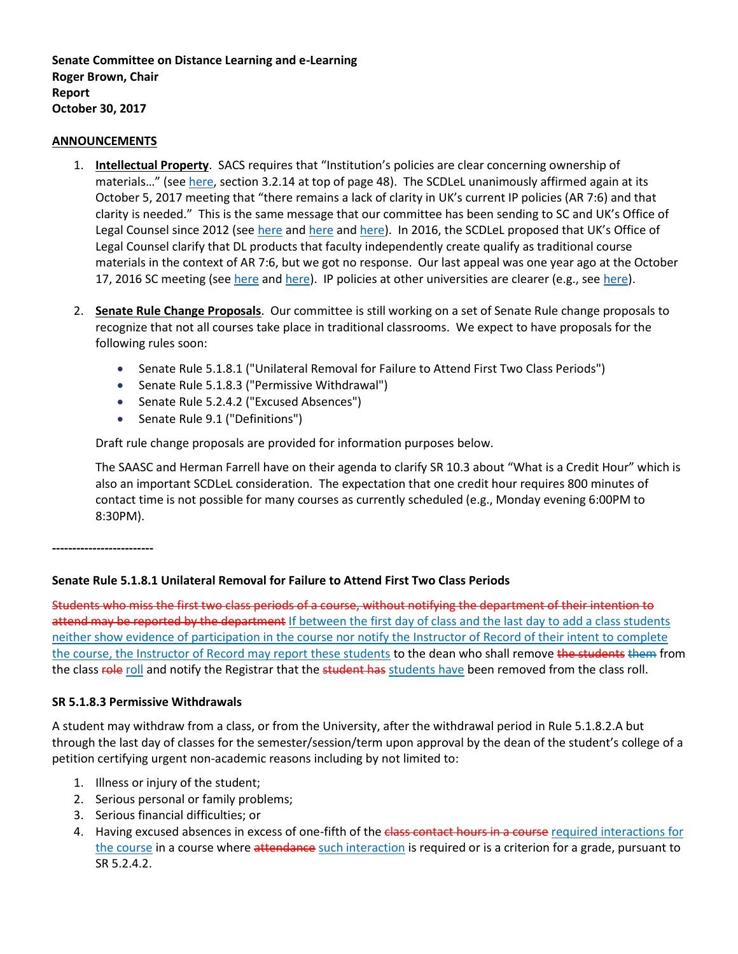**Senate Committee on Distance Learning and e-Learning Roger Brown, Chair Report October 30, 2017**

#### **ANNOUNCEMENTS**

- 1. **Intellectual Property**. SACS requires that "Institution's policies are clear concerning ownership of materials..." (see [here,](http://www.sacscoc.org/pdf/Resource%20Manual.pdf) section 3.2.14 at top of page 48). The SCDLeL unanimously affirmed again at its October 5, 2017 meeting that "there remains a lack of clarity in UK's current IP policies (AR 7:6) and that clarity is needed." This is the same message that our committee has been sending to SC and UK's Office of Legal Counsel since 2012 (see [here](https://www.uky.edu/universitysenate/sites/www.uky.edu.universitysenate/files/SC%20Minutes%20May%2013%202013_TOSC.pdf) and here an[d here\)](https://drive.google.com/file/d/0BwZhbuwSbZM5MVd4ZTFiRDRmYnM/view). In 2016, the SCDLeL proposed that UK's Office of Legal Counsel clarify that DL products that faculty independently create qualify as traditional course materials in the context of AR 7:6, but we got no response. Our last appeal was one year ago at the October 17, 2016 SC meeting (see [here](https://www.uky.edu/universitysenate/council/2016-10-17) an[d here\)](http://www.uky.edu/universitysenate/sites/www.uky.edu.universitysenate/files/sc/2016-17/20161017/DLeL%20Senate%20Proposals%2010-10-2016_AR%207.6.IV_.A%20and%20B.pdf). IP policies at other universities are clearer (e.g., se[e here\)](https://www.wisconsin.edu/uw-policies/uw-system-administrative-policies/copyrightable-instructions-materials-ownership-use-and-control/).
- 2. **Senate Rule Change Proposals**. Our committee is still working on a set of Senate Rule change proposals to recognize that not all courses take place in traditional classrooms. We expect to have proposals for the following rules soon:
	- Senate Rule 5.1.8.1 ("Unilateral Removal for Failure to Attend First Two Class Periods")
	- Senate Rule 5.1.8.3 ("Permissive Withdrawal")
	- Senate Rule 5.2.4.2 ("Excused Absences")
	- Senate Rule 9.1 ("Definitions")

Draft rule change proposals are provided for information purposes below.

The SAASC and Herman Farrell have on their agenda to clarify SR 10.3 about "What is a Credit Hour" which is also an important SCDLeL consideration. The expectation that one credit hour requires 800 minutes of contact time is not possible for many courses as currently scheduled (e.g., Monday evening 6:00PM to 8:30PM).

**-------------------------**

## **Senate Rule 5.1.8.1 Unilateral Removal for Failure to Attend First Two Class Periods**

Students who miss the first two class periods of a course, without notifying the department of their intention to attend may be reported by the department If between the first day of class and the last day to add a class students neither show evidence of participation in the course nor notify the Instructor of Record of their intent to complete the course, the Instructor of Record may report these students to the dean who shall remove the students them from the class role roll and notify the Registrar that the student has students have been removed from the class roll.

## **SR 5.1.8.3 Permissive Withdrawals**

A student may withdraw from a class, or from the University, after the withdrawal period in Rule 5.1.8.2.A but through the last day of classes for the semester/session/term upon approval by the dean of the student's college of a petition certifying urgent non-academic reasons including by not limited to:

- 1. Illness or injury of the student;
- 2. Serious personal or family problems;
- 3. Serious financial difficulties; or
- 4. Having excused absences in excess of one-fifth of the class contact hours in a course required interactions for the course in a course where attendance such interaction is required or is a criterion for a grade, pursuant to SR 5.2.4.2.